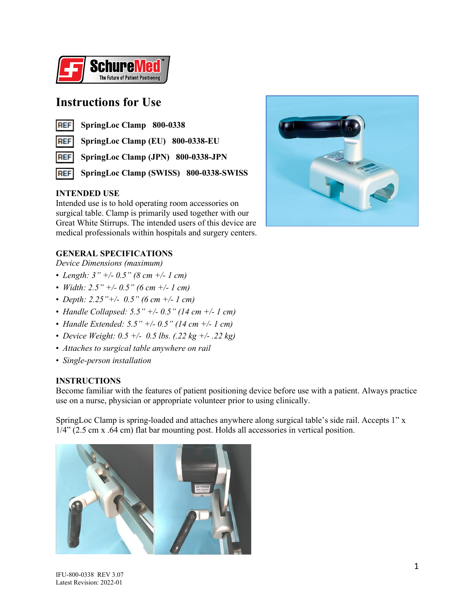

# **Instructions for Use**

|  | REF SpringLoc Clamp 800-0338 |  |
|--|------------------------------|--|
|--|------------------------------|--|

**REF SpringLoc Clamp (EU) 800-0338-EU**

**REF SpringLoc Clamp (JPN) 800-0338-JPN**

**SpringLoc Clamp (SWISS) 800-0338-SWISS REF** 

# **INTENDED USE**

Intended use is to hold operating room accessories on surgical table. Clamp is primarily used together with our Great White Stirrups. The intended users of this device are medical professionals within hospitals and surgery centers.



# **GENERAL SPECIFICATIONS**

*Device Dimensions (maximum)*

- *Length: 3" +/- 0.5" (8 cm +/- 1 cm)*
- *Width: 2.5" +/- 0.5" (6 cm +/- 1 cm)*
- *Depth: 2.25"+/- 0.5" (6 cm +/- 1 cm)*
- *Handle Collapsed: 5.5" +/- 0.5" (14 cm +/- 1 cm)*
- *Handle Extended: 5.5" +/- 0.5" (14 cm +/- 1 cm)*
- *Device Weight: 0.5 +/- 0.5 lbs. (.22 kg +/- .22 kg)*
- *Attaches to surgical table anywhere on rail*
- *Single-person installation*

# **INSTRUCTIONS**

Become familiar with the features of patient positioning device before use with a patient. Always practice use on a nurse, physician or appropriate volunteer prior to using clinically.

SpringLoc Clamp is spring-loaded and attaches anywhere along surgical table's side rail. Accepts 1" x 1/4" (2.5 cm x .64 cm) flat bar mounting post. Holds all accessories in vertical position.

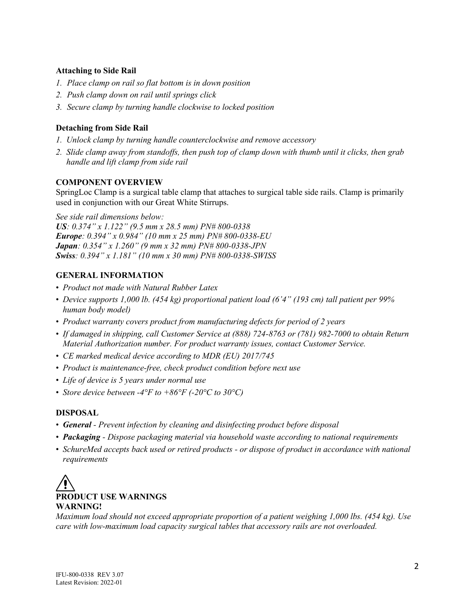### **Attaching to Side Rail**

- *1. Place clamp on rail so flat bottom is in down position*
- *2. Push clamp down on rail until springs click*
- *3. Secure clamp by turning handle clockwise to locked position*

# **Detaching from Side Rail**

- *1. Unlock clamp by turning handle counterclockwise and remove accessory*
- *2. Slide clamp away from standoffs, then push top of clamp down with thumb until it clicks, then grab handle and lift clamp from side rail*

#### **COMPONENT OVERVIEW**

SpringLoc Clamp is a surgical table clamp that attaches to surgical table side rails. Clamp is primarily used in conjunction with our Great White Stirrups.

*See side rail dimensions below:*

*US: 0.374" x 1.122" (9.5 mm x 28.5 mm) PN# 800-0338 Europe: 0.394" x 0.984" (10 mm x 25 mm) PN# 800-0338-EU Japan: 0.354" x 1.260" (9 mm x 32 mm) PN# 800-0338-JPN Swiss: 0.394" x 1.181" (10 mm x 30 mm) PN# 800-0338-SWISS*

# **GENERAL INFORMATION**

- *Product not made with Natural Rubber Latex*
- *Device supports 1,000 lb. (454 kg) proportional patient load (6'4" (193 cm) tall patient per 99% human body model)*
- *Product warranty covers product from manufacturing defects for period of 2 years*
- *If damaged in shipping, call Customer Service at (888) 724-8763 or (781) 982-7000 to obtain Return Material Authorization number. For product warranty issues, contact Customer Service.*
- *CE marked medical device according to MDR (EU) 2017/745*
- *Product is maintenance-free, check product condition before next use*
- *Life of device is 5 years under normal use*
- *Store device between -4°F to +86°F (-20°C to 30°C)*

#### **DISPOSAL**

- *General - Prevent infection by cleaning and disinfecting product before disposal*
- *Packaging - Dispose packaging material via household waste according to national requirements*
- *SchureMed accepts back used or retired products - or dispose of product in accordance with national requirements*



*Maximum load should not exceed appropriate proportion of a patient weighing 1,000 lbs. (454 kg). Use care with low-maximum load capacity surgical tables that accessory rails are not overloaded.*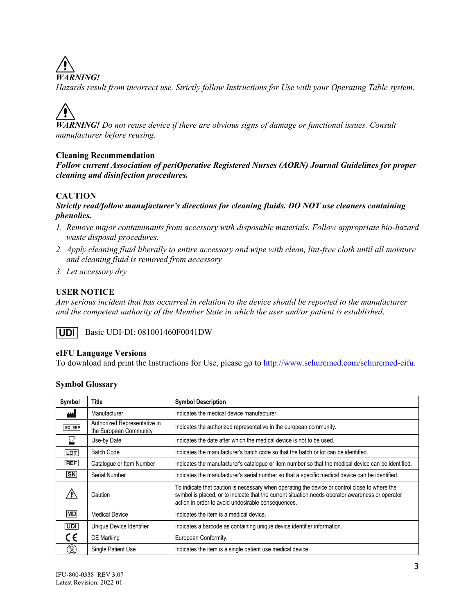*WARNING!*

*Hazards result from incorrect use. Strictly follow Instructions for Use with your Operating Table system.*

*WARNING! Do not reuse device if there are obvious signs of damage or functional issues. Consult manufacturer before reusing.*

# **Cleaning Recommendation**

*Follow current Association of periOperative Registered Nurses (AORN) Journal Guidelines for proper cleaning and disinfection procedures.*

# **CAUTION**

### *Strictly read/follow manufacturer's directions for cleaning fluids. DO NOT use cleaners containing phenolics.*

- *1. Remove major contaminants from accessory with disposable materials. Follow appropriate bio-hazard waste disposal procedures.*
- *2. Apply cleaning fluid liberally to entire accessory and wipe with clean, lint-free cloth until all moisture and cleaning fluid is removed from accessory*
- *3. Let accessory dry*

# **USER NOTICE**

*Any serious incident that has occurred in relation to the device should be reported to the manufacturer and the competent authority of the Member State in which the user and/or patient is established.*

UDI I Basic UDI-DI: 081001460F0041DW

# **eIFU Language Versions**

To download and print the Instructions for Use, please go to [http://www.schuremed.com/schuremed-eifu.](http://www.schuremed.com/schuremed-eifu)

|  | <b>Symbol Glossary</b> |
|--|------------------------|
|--|------------------------|

| Symbol                 | Title                                                  | <b>Symbol Description</b>                                                                                                                                                                                                                               |
|------------------------|--------------------------------------------------------|---------------------------------------------------------------------------------------------------------------------------------------------------------------------------------------------------------------------------------------------------------|
|                        | Manufacturer                                           | Indicates the medical device manufacturer.                                                                                                                                                                                                              |
| EC REP                 | Authorized Representative in<br>the European Community | Indicates the authorized representative in the european community.                                                                                                                                                                                      |
|                        | Use-by Date                                            | Indicates the date after which the medical device is not to be used.                                                                                                                                                                                    |
| <b>LOT</b>             | <b>Batch Code</b>                                      | Indicates the manufacturer's batch code so that the batch or lot can be identified.                                                                                                                                                                     |
| <b>REF</b>             | Catalogue or Item Number                               | Indicates the manufacturer's catalogue or item number so that the medical device can be identified.                                                                                                                                                     |
| $\overline{\text{SN}}$ | Serial Number                                          | Indicates the manufacturer's serial number so that a specific medical device can be identified.                                                                                                                                                         |
|                        | Caution                                                | To indicate that caution is necessary when operating the device or control close to where the<br>symbol is placed, or to indicate that the current situation needs operator awareness or operator<br>action in order to avoid undesirable consequences. |
| <b>MD</b>              | <b>Medical Device</b>                                  | Indicates the item is a medical device.                                                                                                                                                                                                                 |
| UDI                    | Unique Device Identifier                               | Indicates a barcode as containing unique device identifier information.                                                                                                                                                                                 |
| CE                     | <b>CE Marking</b>                                      | European Conformity.                                                                                                                                                                                                                                    |
| Z)                     | Single Patient Use                                     | Indicates the item is a single patient use medical device.                                                                                                                                                                                              |